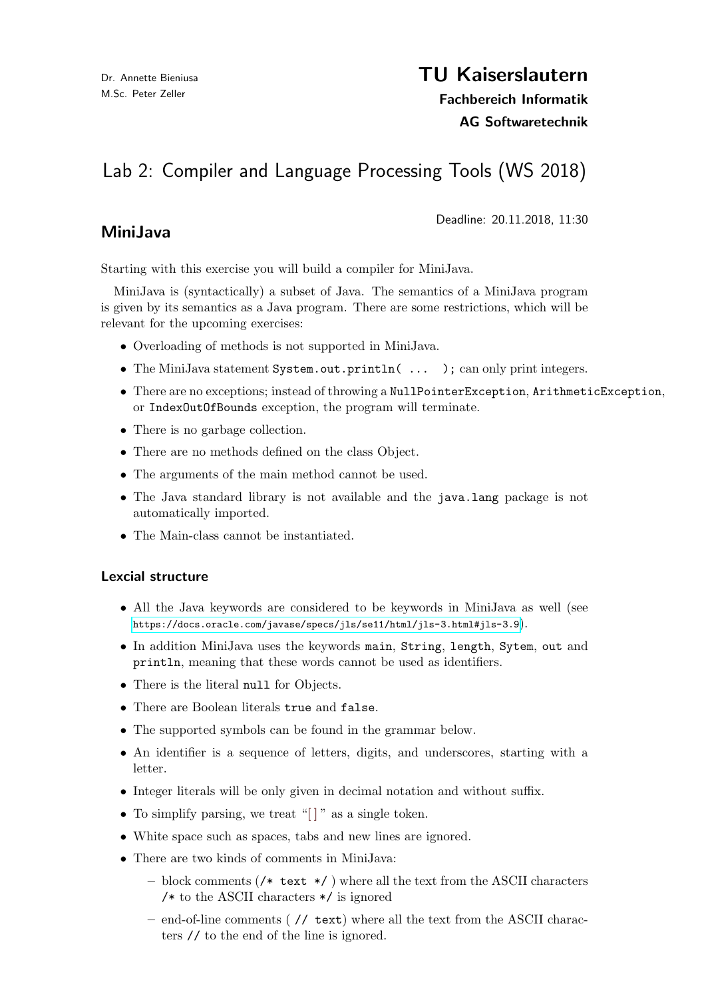## TU Kaiserslautern

Fachbereich Informatik

AG Softwaretechnik

# Lab 2: Compiler and Language Processing Tools (WS 2018)

## MiniJava

Deadline: 20.11.2018, 11:30

Starting with this exercise you will build a compiler for MiniJava.

MiniJava is (syntactically) a subset of Java. The semantics of a MiniJava program is given by its semantics as a Java program. There are some restrictions, which will be relevant for the upcoming exercises:

- Overloading of methods is not supported in MiniJava.
- The MiniJava statement System.out.println( ... ); can only print integers.
- There are no exceptions; instead of throwing a NullPointerException, ArithmeticException, or IndexOutOfBounds exception, the program will terminate.
- There is no garbage collection.
- There are no methods defined on the class Object.
- The arguments of the main method cannot be used.
- The Java standard library is not available and the java.lang package is not automatically imported.
- The Main-class cannot be instantiated.

#### Lexcial structure

- All the Java keywords are considered to be keywords in MiniJava as well (see <https://docs.oracle.com/javase/specs/jls/se11/html/jls-3.html#jls-3.9>).
- In addition MiniJava uses the keywords main, String, length, Sytem, out and println, meaning that these words cannot be used as identifiers.
- There is the literal null for Objects.
- There are Boolean literals true and false.
- The supported symbols can be found in the grammar below.
- An identifier is a sequence of letters, digits, and underscores, starting with a letter.
- Integer literals will be only given in decimal notation and without suffix.
- To simplify parsing, we treat "[]" as a single token.
- White space such as spaces, tabs and new lines are ignored.
- There are two kinds of comments in MiniJava:
	- block comments (/\* text  $*/$  ) where all the text from the ASCII characters /\* to the ASCII characters \*/ is ignored
	- end-of-line comments ( // text) where all the text from the ASCII characters // to the end of the line is ignored.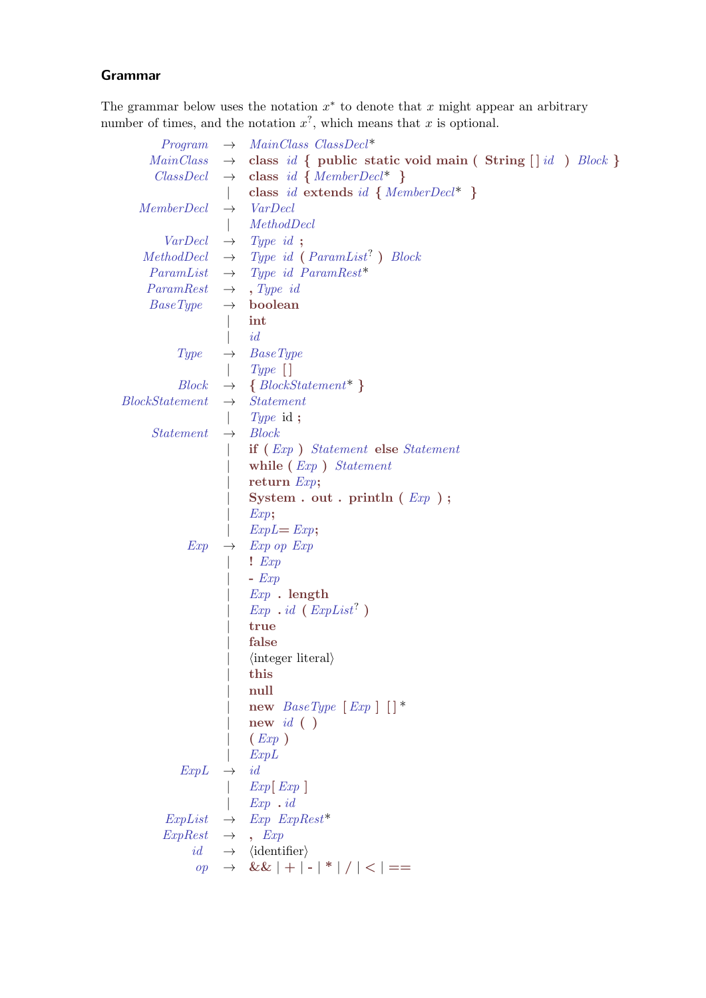### Grammar

The grammar below uses the notation  $x^*$  to denote that x might appear an arbitrary number of times, and the notation  $x^?$ , which means that x is optional.

| Program                                 | $\rightarrow$ MainClass ClassDecl <sup>*</sup>                                       |
|-----------------------------------------|--------------------------------------------------------------------------------------|
|                                         | $MainClass \rightarrow class id \{ public static void main (String [] id ) Block \}$ |
|                                         | $ClassDecl \rightarrow class id \{ MemberDecl^* \}$                                  |
|                                         | class id extends id { $Member$ }                                                     |
| <i>MemberDecl</i>                       | $\rightarrow$ VarDecl                                                                |
|                                         | MethodDecl                                                                           |
|                                         | $VarDecl \rightarrow Typeid ;$                                                       |
|                                         | $MethodDecl \rightarrow Type\ id\ (ParamList^? \ )\ Block$                           |
|                                         | $ParamList \rightarrow Type \ id \ ParamRest*$                                       |
| $ParamRest \rightarrow \text{Type } id$ |                                                                                      |
| $BaseType \rightarrow boolean$          |                                                                                      |
|                                         | int                                                                                  |
|                                         | id                                                                                   |
|                                         | $Type \rightarrow BaseType$                                                          |
|                                         | $Type [$ ]                                                                           |
|                                         | $Block \rightarrow \{ BlockStatement^*\}$                                            |
| Block Statement                         | $\rightarrow$ Statement                                                              |
|                                         | $Type$ id;                                                                           |
| $Statement \rightarrow Block$           |                                                                                      |
|                                         | if (Exp) Statement else Statement                                                    |
|                                         | while $(Exp)$ Statement                                                              |
|                                         | return $Exp;$                                                                        |
|                                         | System . out . println $(\mathit{Exp})$ ;                                            |
|                                         | Exp;                                                                                 |
|                                         | $ExpL = Exp;$                                                                        |
| Exp                                     | $\rightarrow$ Exp op Exp                                                             |
|                                         | Exp                                                                                  |
|                                         | $ Exp$                                                                               |
|                                         | $Exp$ . length                                                                       |
|                                         | $Exp$ . id $(ExpList')$                                                              |
|                                         | true                                                                                 |
|                                         | false                                                                                |
|                                         | $\langle$ integer literal $\rangle$                                                  |
|                                         | this                                                                                 |
|                                         | null                                                                                 |
|                                         | new $BaseType [Exp] [$                                                               |
|                                         | new $id( )$                                                                          |
|                                         | (Exp)                                                                                |
|                                         | ExpL                                                                                 |
| $ExpL \rightarrow id$                   |                                                                                      |
|                                         | Exp[Exp]<br>$Exp$ . id                                                               |
|                                         | $ExpList \rightarrow Exp$ $ExpRest^*$                                                |
| $ExpRest \rightarrow$ , $Exp$           |                                                                                      |
|                                         | $id \rightarrow \langle \text{identifier} \rangle$                                   |
|                                         | $op \rightarrow \&\&   +   -   *   /   <   ==$                                       |
|                                         |                                                                                      |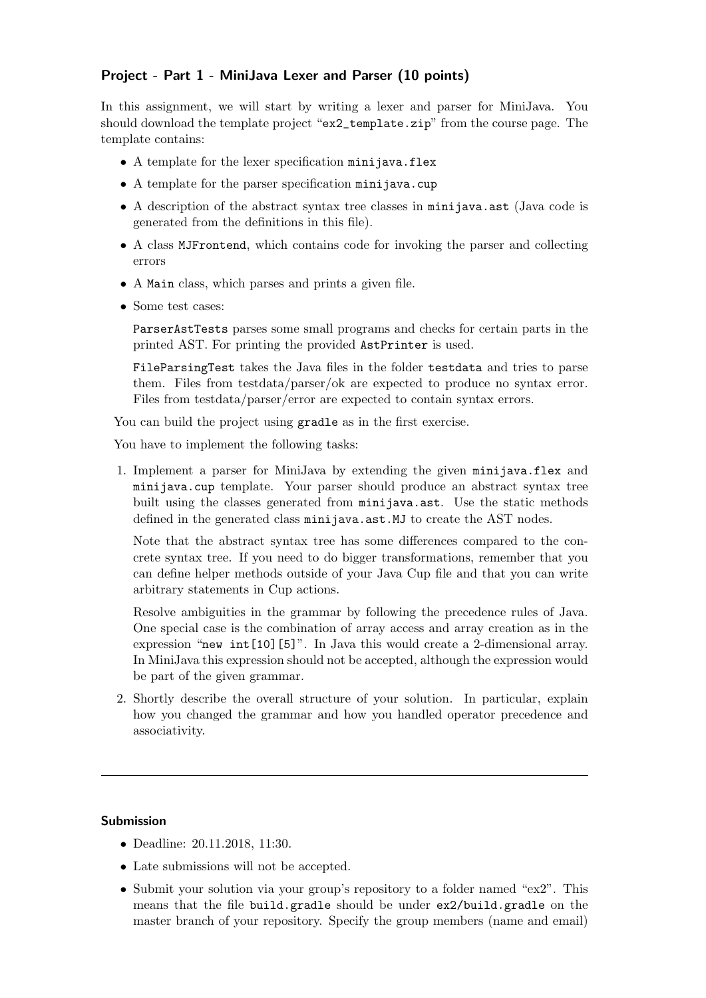#### Project - Part 1 - MiniJava Lexer and Parser (10 points)

In this assignment, we will start by writing a lexer and parser for MiniJava. You should download the template project "ex2\_template.zip" from the course page. The template contains:

- A template for the lexer specification minijava.flex
- A template for the parser specification minijava.cup
- A description of the abstract syntax tree classes in minitava.ast (Java code is generated from the definitions in this file).
- A class MJFrontend, which contains code for invoking the parser and collecting errors
- A Main class, which parses and prints a given file.
- Some test cases:

ParserAstTests parses some small programs and checks for certain parts in the printed AST. For printing the provided AstPrinter is used.

FileParsingTest takes the Java files in the folder testdata and tries to parse them. Files from testdata/parser/ok are expected to produce no syntax error. Files from testdata/parser/error are expected to contain syntax errors.

You can build the project using gradle as in the first exercise.

You have to implement the following tasks:

1. Implement a parser for MiniJava by extending the given minijava.flex and minijava.cup template. Your parser should produce an abstract syntax tree built using the classes generated from minijava.ast. Use the static methods defined in the generated class minijava.ast.MJ to create the AST nodes.

Note that the abstract syntax tree has some differences compared to the concrete syntax tree. If you need to do bigger transformations, remember that you can define helper methods outside of your Java Cup file and that you can write arbitrary statements in Cup actions.

Resolve ambiguities in the grammar by following the precedence rules of Java. One special case is the combination of array access and array creation as in the expression "new int[10][5]". In Java this would create a 2-dimensional array. In MiniJava this expression should not be accepted, although the expression would be part of the given grammar.

2. Shortly describe the overall structure of your solution. In particular, explain how you changed the grammar and how you handled operator precedence and associativity.

#### Submission

- Deadline: 20.11.2018, 11:30.
- Late submissions will not be accepted.
- Submit your solution via your group's repository to a folder named "ex2". This means that the file build.gradle should be under ex2/build.gradle on the master branch of your repository. Specify the group members (name and email)